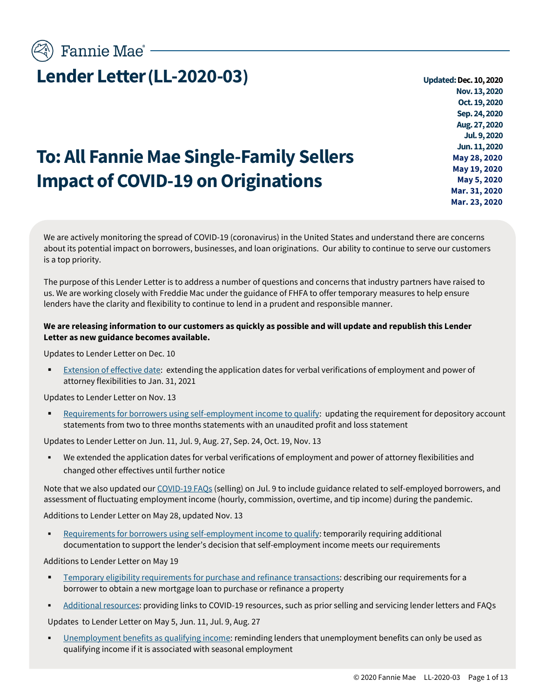**To: All Fannie Mae Single-Family Sellers** 

**Impact of COVID-19 on Originations**

**Nov. 13,2020 Oct. 19, 2020 Sep. 24, 2020 Aug. 27,2020 Jul. 9, 2020 Jun. 11, 2020 May 28, 2020 May 19, 2020 May 5, 2020 Mar. 31, 2020 Mar. 23, 2020**

We are actively monitoring the spread of COVID-19 (coronavirus) in the United States and understand there are concerns about its potential impact on borrowers, businesses, and loan originations. Our ability to continue to serve our customers is a top priority.

The purpose of this Lender Letter is to address a number of questions and concerns that industry partners have raised to us. We are working closely with Freddie Mac under the guidance of FHFA to offer temporary measures to help ensure lenders have the clarity and flexibility to continue to lend in a prudent and responsible manner.

#### **We are releasing information to our customers as quickly as possible and will update and republish this Lender Letter as new guidance becomes available.**

Updates to Lender Letter on Dec. 10

[Extension of effective date:](#page-2-0) extending the application dates for verbal verifications of employment and power of attorney flexibilities to Jan. 31, 2021

Updates to Lender Letter on Nov. 13

[Requirements for borrowers using self-employment income to qualify:](#page-2-1) updating the requirement for depository account statements from two to three months statements with an unaudited profit and loss statement

Updates to Lender Letter on Jun. 11, Jul. 9, Aug. 27, Sep. 24, Oct. 19, Nov. 13

We extended the application dates for verbal verifications of employment and power of attorney flexibilities and changed other effectives until further notice

Note that we also updated our COVID-19 FAOs (selling) on Jul. 9 to include guidance related to self-employed borrowers, and assessment of fluctuating employment income (hourly, commission, overtime, and tip income) during the pandemic.

Additions to Lender Letter on May 28, updated Nov. 13

[Requirements for borrowers using self-employment income to qualify:](#page-2-0) temporarily requiring additional documentation to support the lender's decision that self-employment income meets our requirements

Additions to Lender Letter on May 19

- Temporary eligibility requirements [for purchase and refinance transactions:](#page-4-0) describing our requirements for a borrower to obtain a new mortgage loan to purchase or refinance a property
- [Additional resources:](#page-12-0) providing links to COVID-19 resources, such as prior selling and servicing lender letters and FAQs

Updates to Lender Letter on May 5, Jun. 11, Jul. 9, Aug. 27

[Unemployment benefits as qualifying income:](#page-5-0) reminding lenders that unemployment benefits can only be used as qualifying income if it is associated with seasonal employment

Fannie Mae<sup>®</sup> -

# **Lender Letter** (LL-2020-03) *Updated: Dec. 10, 2020*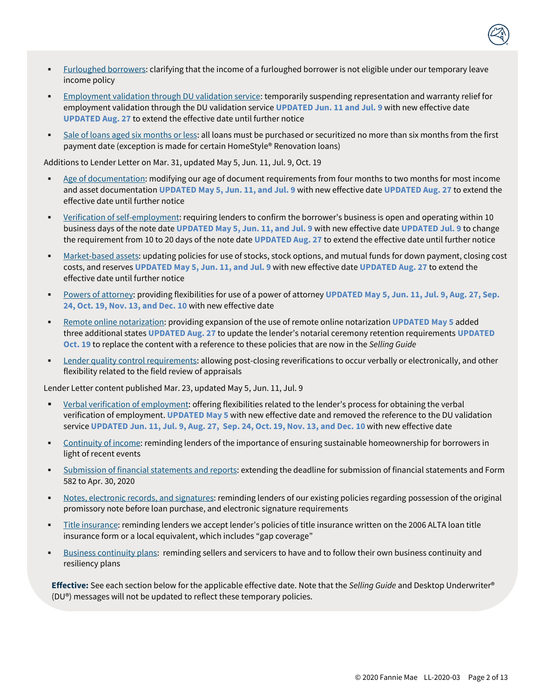

- [Furloughed borrowers:](#page-5-1) clarifying that the income of a furloughed borrower is not eligible under our temporary leave income policy
- [Employment validation through DU validation service:](#page-5-2) temporarily suspending representation and warranty relief for employment validation through the DU validation service **UPDATED Jun. 11 and Jul. 9** with new effective date **UPDATED Aug. 27** to extend the effective date until further notice
- [Sale of loans aged six](#page-6-0) months or less: all loans must be purchased or securitized no more than six months from the first payment date (exception is made for certain HomeStyle® Renovation loans)

Additions to Lender Letter on Mar. 31, updated May 5, Jun. 11, Jul. 9, Oct. 19

- [Age of documentation:](#page-6-1) modifying our age of document requirements from four months to two months for most income and asset documentation **UPDATED May 5, Jun. 11, and Jul. 9** with new effective date **UPDATED Aug. 27** to extend the effective date until further notice
- [Verification of self-employment:](#page-7-0) requiring lenders to confirm the borrower's business is open and operating within 10 business days of the note date **UPDATED May 5, Jun. 11, and Jul. 9** with new effective date **UPDATED Jul. 9** to change the requirement from 10 to 20 days of the note date **UPDATED Aug. 27** to extend the effective date until further notice
- [Market-based](#page-7-1) assets: updating policies for use of stocks, stock options, and mutual funds for down payment, closing cost costs, and reserves **UPDATED May 5, Jun. 11, and Jul. 9** with new effective date **UPDATED Aug. 27** to extend the effective date until further notice
- [Powers of attorney:](#page-8-0) providing flexibilities for use of a power of attorney **UPDATED May 5, Jun. 11, Jul. 9, Aug. 27, Sep. 24, Oct. 19, Nov. 13, and Dec. 10** with new effective date
- [Remote online notarization:](#page-9-0) providing expansion of the use of remote online notarization **UPDATED May 5** added three additional states **UPDATED Aug. 27** to update the lender's notarial ceremony retention requirements **UPDATED Oct. 19** to replace the content with a reference to these policies that are now in the *Selling Guide*
- [Lender quality control requirements:](#page-9-1) allowing post-closing reverifications to occur verbally or electronically, and other flexibility related to the field review of appraisals

Lender Letter content published Mar. 23, updated May 5, Jun. 11, Jul. 9

- [Verbal verification of employment:](#page-10-0) offering flexibilities related to the lender's process for obtaining the verbal verification of employment. **UPDATED May 5** with new effective date and removed the reference to the DU validation service **UPDATED Jun. 11, Jul. 9, Aug. 27, Sep. 24, Oct. 19, Nov. 13, and Dec. 10** with new effective date
- [Continuity of income:](#page-10-1) reminding lenders of the importance of ensuring sustainable homeownership for borrowers in light of recent events
- [Submission of financial statements](#page-11-0) and reports: extending the deadline for submission of financial statements and Form 582 to Apr. 30, 2020
- [Notes, electronic records,](#page-11-1) and signatures: reminding lenders of our existing policies regarding possession of the original promissory note before loan purchase, and electronic signature requirements
- [Title insurance:](#page-11-2) reminding lenders we accept lender's policies of title insurance written on the 2006 ALTA loan title insurance form or a local equivalent, which includes "gap coverage"
- [Business continuity plans:](#page-11-3) reminding sellers and servicers to have and to follow their own business continuity and resiliency plans

**Effective:** See each section below for the applicable effective date. Note that the *Selling Guide* and Desktop Underwriter® (DU®) messages will not be updated to reflect these temporary policies.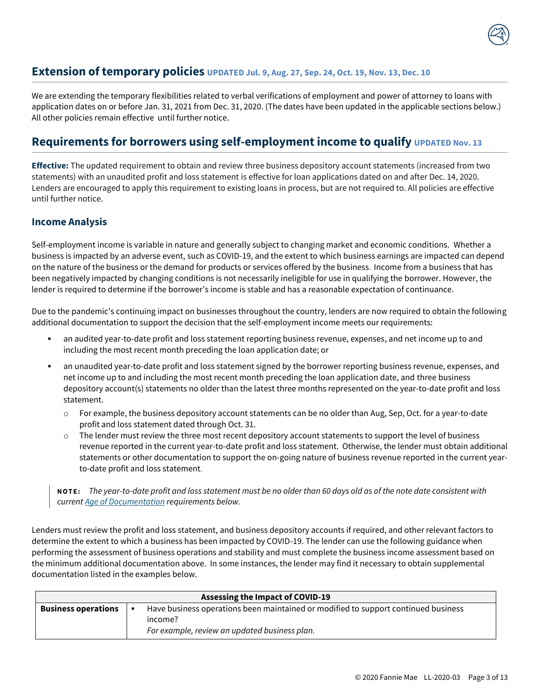<span id="page-2-0"></span>

We are extending the temporary flexibilities related to verbal verifications of employment and power of attorney to loans with application dates on or before Jan. 31, 2021 from Dec. 31, 2020. (The dates have been updated in the applicable sections below.) All other policies remain effective until further notice.

# <span id="page-2-1"></span>**Requirements for borrowers using self-employment income to qualify UPDATED Nov. 13**

**Effective:** The updated requirement to obtain and review three business depository account statements (increased from two statements) with an unaudited profit and loss statement is effective for loan applications dated on and after Dec. 14, 2020. Lenders are encouraged to apply this requirement to existing loans in process, but are not required to. All policies are effective until further notice.

#### **Income Analysis**

Self-employment income is variable in nature and generally subject to changing market and economic conditions. Whether a business is impacted by an adverse event, such as COVID-19, and the extent to which business earnings are impacted can depend on the nature of the business or the demand for products or services offered by the business. Income from a business that has been negatively impacted by changing conditions is not necessarily ineligible for use in qualifying the borrower. However, the lender is required to determine if the borrower's income is stable and has a reasonable expectation of continuance.

Due to the pandemic's continuing impact on businesses throughout the country, lenders are now required to obtain the following additional documentation to support the decision that the self-employment income meets our requirements:

- an audited year-to-date profit and loss statement reporting business revenue, expenses, and net income up to and including the most recent month preceding the loan application date; or
- an unaudited year-to-date profit and loss statement signed by the borrower reporting business revenue, expenses, and net income up to and including the most recent month preceding the loan application date, and three business depository account(s) statements no older than the latest three months represented on the year-to-date profit and loss statement.
	- o For example, the business depository account statements can be no older than Aug, Sep, Oct. for a year-to-date profit and loss statement dated through Oct. 31.
	- $\circ$  The lender must review the three most recent depository account statements to support the level of business revenue reported in the current year-to-date profit and loss statement. Otherwise, the lender must obtain additional statements or other documentation to support the on-going nature of business revenue reported in the current yearto-date profit and loss statement.

**N O T E :** *The year-to-date profit and loss statement must be no older than 60 days old as of the note date consistent with curren[t Age of Documentation](#page-6-1) requirements below.* 

Lenders must review the profit and loss statement, and business depository accounts if required, and other relevant factors to determine the extent to which a business has been impacted by COVID-19. The lender can use the following guidance when performing the assessment of business operations and stability and must complete the business income assessment based on the minimum additional documentation above. In some instances, the lender may find it necessary to obtain supplemental documentation listed in the examples below.

| <b>Assessing the Impact of COVID-19</b> |                                                                                    |  |
|-----------------------------------------|------------------------------------------------------------------------------------|--|
| <b>Business operations</b>              | Have business operations been maintained or modified to support continued business |  |
|                                         | income?                                                                            |  |
|                                         | For example, review an updated business plan.                                      |  |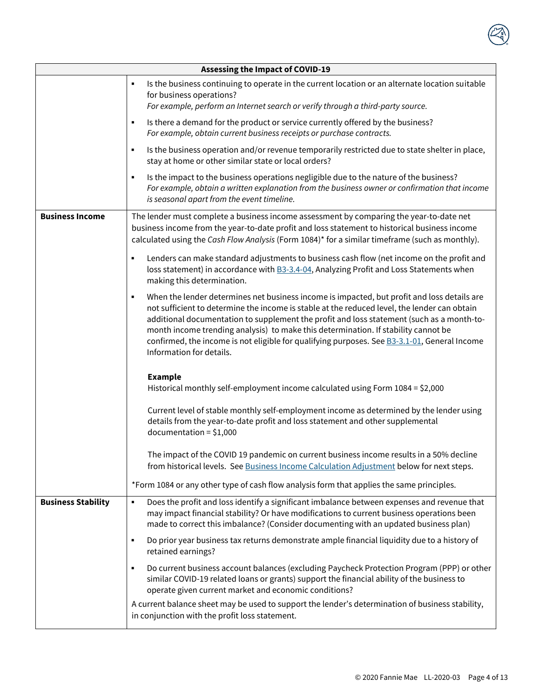

|                           | <b>Assessing the Impact of COVID-19</b>                                                                                                                                                                                                                                                                                                                                                                                                                                                                                 |
|---------------------------|-------------------------------------------------------------------------------------------------------------------------------------------------------------------------------------------------------------------------------------------------------------------------------------------------------------------------------------------------------------------------------------------------------------------------------------------------------------------------------------------------------------------------|
|                           | Is the business continuing to operate in the current location or an alternate location suitable<br>٠<br>for business operations?<br>For example, perform an Internet search or verify through a third-party source.                                                                                                                                                                                                                                                                                                     |
|                           | Is there a demand for the product or service currently offered by the business?<br>٠<br>For example, obtain current business receipts or purchase contracts.                                                                                                                                                                                                                                                                                                                                                            |
|                           | Is the business operation and/or revenue temporarily restricted due to state shelter in place,<br>٠<br>stay at home or other similar state or local orders?                                                                                                                                                                                                                                                                                                                                                             |
|                           | Is the impact to the business operations negligible due to the nature of the business?<br>$\blacksquare$<br>For example, obtain a written explanation from the business owner or confirmation that income<br>is seasonal apart from the event timeline.                                                                                                                                                                                                                                                                 |
| <b>Business Income</b>    | The lender must complete a business income assessment by comparing the year-to-date net<br>business income from the year-to-date profit and loss statement to historical business income<br>calculated using the Cash Flow Analysis (Form 1084)* for a similar timeframe (such as monthly).                                                                                                                                                                                                                             |
|                           | Lenders can make standard adjustments to business cash flow (net income on the profit and<br>$\blacksquare$<br>loss statement) in accordance with <b>B3-3.4-04</b> , Analyzing Profit and Loss Statements when<br>making this determination.                                                                                                                                                                                                                                                                            |
|                           | When the lender determines net business income is impacted, but profit and loss details are<br>٠<br>not sufficient to determine the income is stable at the reduced level, the lender can obtain<br>additional documentation to supplement the profit and loss statement (such as a month-to-<br>month income trending analysis) to make this determination. If stability cannot be<br>confirmed, the income is not eligible for qualifying purposes. See <b>B3-3.1-01</b> , General Income<br>Information for details. |
|                           | <b>Example</b><br>Historical monthly self-employment income calculated using Form 1084 = \$2,000                                                                                                                                                                                                                                                                                                                                                                                                                        |
|                           | Current level of stable monthly self-employment income as determined by the lender using<br>details from the year-to-date profit and loss statement and other supplemental<br>$documentation = $1,000$                                                                                                                                                                                                                                                                                                                  |
|                           | The impact of the COVID 19 pandemic on current business income results in a 50% decline<br>from historical levels. See Business Income Calculation Adjustment below for next steps.                                                                                                                                                                                                                                                                                                                                     |
|                           | *Form 1084 or any other type of cash flow analysis form that applies the same principles.                                                                                                                                                                                                                                                                                                                                                                                                                               |
| <b>Business Stability</b> | Does the profit and loss identify a significant imbalance between expenses and revenue that<br>٠<br>may impact financial stability? Or have modifications to current business operations been<br>made to correct this imbalance? (Consider documenting with an updated business plan)                                                                                                                                                                                                                                   |
|                           | Do prior year business tax returns demonstrate ample financial liquidity due to a history of<br>٠<br>retained earnings?                                                                                                                                                                                                                                                                                                                                                                                                 |
|                           | Do current business account balances (excluding Paycheck Protection Program (PPP) or other<br>٠<br>similar COVID-19 related loans or grants) support the financial ability of the business to<br>operate given current market and economic conditions?                                                                                                                                                                                                                                                                  |
|                           | A current balance sheet may be used to support the lender's determination of business stability,<br>in conjunction with the profit loss statement.                                                                                                                                                                                                                                                                                                                                                                      |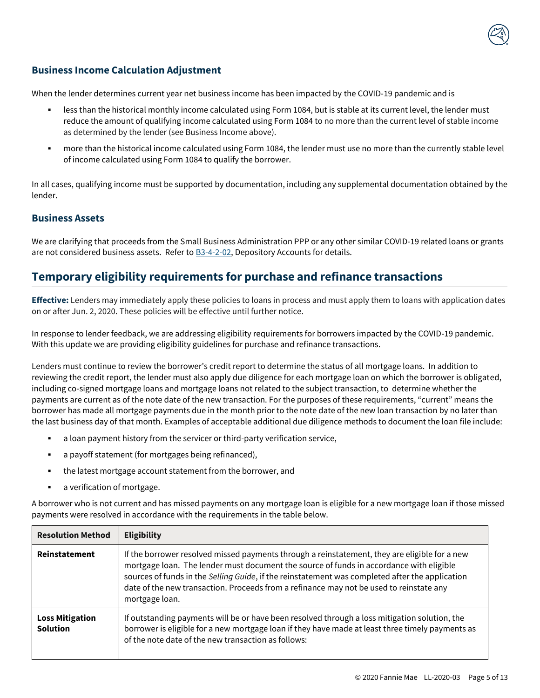

### <span id="page-4-1"></span>**Business Income Calculation Adjustment**

When the lender determines current year net business income has been impacted by the COVID-19 pandemic and is

- less than the historical monthly income calculated using Form 1084, but is stable at its current level, the lender must reduce the amount of qualifying income calculated using Form 1084 to no more than the current level of stable income as determined by the lender (see Business Income above).
- more than the historical income calculated using Form 1084, the lender must use no more than the currently stable level of income calculated using Form 1084 to qualify the borrower.

In all cases, qualifying income must be supported by documentation, including any supplemental documentation obtained by the lender.

#### **Business Assets**

We are clarifying that proceeds from the Small Business Administration PPP or any other similar COVID-19 related loans or grants are not considered business assets. Refer to **B3-4-2-02**, Depository Accounts for details.

### <span id="page-4-0"></span>**Temporary eligibility requirements for purchase and refinance transactions**

**Effective:** Lenders may immediately apply these policies to loans in process and must apply them to loans with application dates on or after Jun. 2, 2020. These policies will be effective until further notice.

In response to lender feedback, we are addressing eligibility requirements for borrowers impacted by the COVID-19 pandemic. With this update we are providing eligibility guidelines for purchase and refinance transactions.

Lenders must continue to review the borrower's credit report to determine the status of all mortgage loans. In addition to reviewing the credit report, the lender must also apply due diligence for each mortgage loan on which the borrower is obligated, including co-signed mortgage loans and mortgage loans not related to the subject transaction, to determine whether the payments are current as of the note date of the new transaction. For the purposes of these requirements, "current" means the borrower has made all mortgage payments due in the month prior to the note date of the new loan transaction by no later than the last business day of that month. Examples of acceptable additional due diligence methods to document the loan file include:

- a loan payment history from the servicer or third-party verification service,
- a payoff statement (for mortgages being refinanced),
- the latest mortgage account statement from the borrower, and
- a verification of mortgage.

A borrower who is not current and has missed payments on any mortgage loan is eligible for a new mortgage loan if those missed payments were resolved in accordance with the requirements in the table below.

| <b>Resolution Method</b>                  | <b>Eligibility</b>                                                                                                                                                                                                                                                                                                                                                                                       |
|-------------------------------------------|----------------------------------------------------------------------------------------------------------------------------------------------------------------------------------------------------------------------------------------------------------------------------------------------------------------------------------------------------------------------------------------------------------|
| Reinstatement                             | If the borrower resolved missed payments through a reinstatement, they are eligible for a new<br>mortgage loan. The lender must document the source of funds in accordance with eligible<br>sources of funds in the Selling Guide, if the reinstatement was completed after the application<br>date of the new transaction. Proceeds from a refinance may not be used to reinstate any<br>mortgage loan. |
| <b>Loss Mitigation</b><br><b>Solution</b> | If outstanding payments will be or have been resolved through a loss mitigation solution, the<br>borrower is eligible for a new mortgage loan if they have made at least three timely payments as<br>of the note date of the new transaction as follows:                                                                                                                                                 |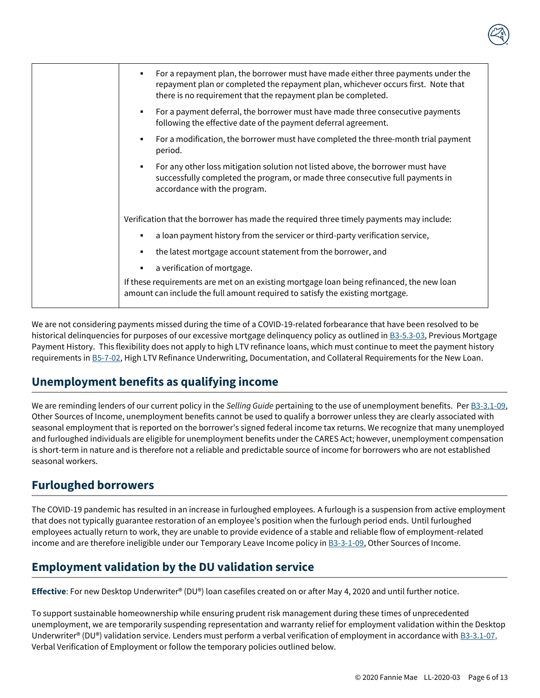

| For a repayment plan, the borrower must have made either three payments under the<br>٠<br>repayment plan or completed the repayment plan, whichever occurs first. Note that<br>there is no requirement that the repayment plan be completed. |
|----------------------------------------------------------------------------------------------------------------------------------------------------------------------------------------------------------------------------------------------|
| For a payment deferral, the borrower must have made three consecutive payments<br>٠<br>following the effective date of the payment deferral agreement.                                                                                       |
| For a modification, the borrower must have completed the three-month trial payment<br>٠<br>period.                                                                                                                                           |
| For any other loss mitigation solution not listed above, the borrower must have<br>٠<br>successfully completed the program, or made three consecutive full payments in<br>accordance with the program.                                       |
| Verification that the borrower has made the required three timely payments may include:<br>a loan payment history from the servicer or third-party verification service,<br>٠                                                                |
| the latest mortgage account statement from the borrower, and<br>٠<br>a verification of mortgage.<br>٠                                                                                                                                        |
| If these requirements are met on an existing mortgage loan being refinanced, the new loan<br>amount can include the full amount required to satisfy the existing mortgage.                                                                   |
|                                                                                                                                                                                                                                              |

We are not considering payments missed during the time of a COVID-19-related forbearance that have been resolved to be historical delinquencies for purposes of our excessive mortgage delinquency policy as outlined in [B3-5.3-03,](https://selling-guide.fanniemae.com/Selling-Guide/Origination-thru-Closing/Subpart-B3-Underwriting-Borrowers/Chapter-B3-5-Credit-Assessment/Section-B3-5-3-Traditional-Credit-History/1032994141/B3-5-3-03-Previous-Mortgage-Payment-History-07-25-2017.htm?searchtype=sf) Previous Mortgage Payment History. This flexibility does not apply to high LTV refinance loans, which must continue to meet the payment history requirements i[n B5-7-02,](https://selling-guide.fanniemae.com/Selling-Guide/Origination-thru-Closing/Subpart-B5-Unique-Eligibility-Underwriting-Considerations/Chapter-B5-7-High-Loan-to-Value-Refinance-Option/1032992031/B5-7-02-High-LTV-Refinance-Underwriting-Documentation-and-Collateral-Requirements-for-the-New-Loan-08-07-2018.htm?searchtype=sf) High LTV Refinance Underwriting, Documentation, and Collateral Requirements for the New Loan.

# <span id="page-5-0"></span>**Unemployment benefits as qualifying income**

We are reminding lenders of our current policy in the *Selling Guide* pertaining to the use of unemployment benefits. Per [B3-3.1-09,](https://selling-guide.fanniemae.com/Selling-Guide/Origination-thru-Closing/Subpart-B3-Underwriting-Borrowers/Chapter-B3-3-Income-Assessment/Section-B3-3-1-Employment-and-Other-Sources-of-Income/1035647451/B3-3-1-09-Other-Sources-of-Income-10-02-2019.htm?searchtype=sf)  Other Sources of Income, unemployment benefits cannot be used to qualify a borrower unless they are clearly associated with seasonal employment that is reported on the borrower's signed federal income tax returns. We recognize that many unemployed and furloughed individuals are eligible for unemployment benefits under the CARES Act; however, unemployment compensation is short-term in nature and is therefore not a reliable and predictable source of income for borrowers who are not established seasonal workers.

### <span id="page-5-1"></span>**Furloughed borrowers**

The COVID-19 pandemic has resulted in an increase in furloughed employees. A furlough is a suspension from active employment that does not typically guarantee restoration of an employee's position when the furlough period ends. Until furloughed employees actually return to work, they are unable to provide evidence of a stable and reliable flow of employment-related income and are therefore ineligible under our Temporary Leave Income policy in [B3-3-1-09,](https://selling-guide.fanniemae.com/Selling-Guide/Origination-thru-Closing/Subpart-B3-Underwriting-Borrowers/Chapter-B3-3-Income-Assessment/Section-B3-3-1-Employment-and-Other-Sources-of-Income/1035647451/B3-3-1-09-Other-Sources-of-Income-10-02-2019.htm?searchtype=sf) Other Sources of Income.

# <span id="page-5-2"></span>**Employment validation by the DU validation service**

**Effective**: For new Desktop Underwriter® (DU®) loan casefiles created on or after May 4, 2020 and until further notice.

To support sustainable homeownership while ensuring prudent risk management during these times of unprecedented unemployment, we are temporarily suspending representation and warranty relief for employment validation within the Desktop Underwriter® (DU®) validation service. Lenders must perform a verbal verification of employment in accordance with  $B3-3.1-07$ , Verbal Verification of Employment or follow the temporary policies outlined below.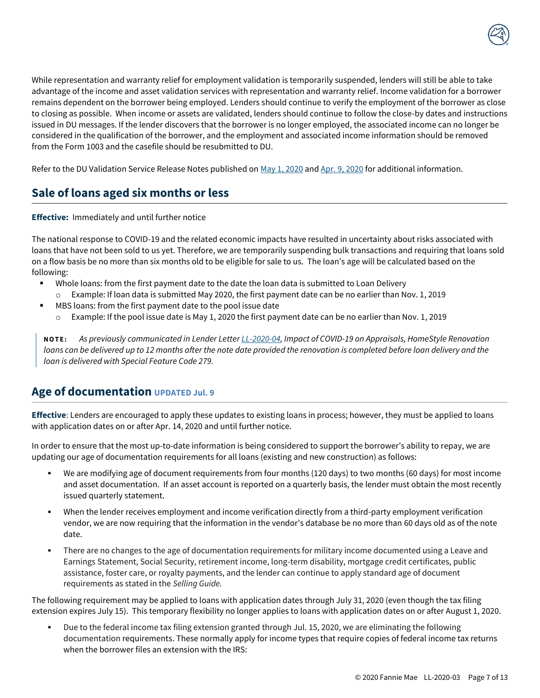

While representation and warranty relief for employment validation is temporarily suspended, lenders will still be able to take advantage of the income and asset validation services with representation and warranty relief. Income validation for a borrower remains dependent on the borrower being employed. Lenders should continue to verify the employment of the borrower as close to closing as possible. When income or assets are validated, lenders should continue to follow the close-by dates and instructions issued in DU messages. If the lender discovers that the borrower is no longer employed, the associated income can no longer be considered in the qualification of the borrower, and the employment and associated income information should be removed from the Form 1003 and the casefile should be resubmitted to DU.

<span id="page-6-0"></span>Refer to the DU Validation Service Release Notes published o[n May 1, 2020](https://singlefamily.fanniemae.com/media/document/pdf/du-validation-service-may-release-may-4-2020) and Apr. 9, [2020](https://singlefamily.fanniemae.com/media/document/pdf/du-validation-service-april-release-april-18-2020) for additional information.

# **Sale of loans aged six months or less**

**Effective:** Immediately and until further notice

The national response to COVID-19 and the related economic impacts have resulted in uncertainty about risks associated with loans that have not been sold to us yet. Therefore, we are temporarily suspending bulk transactions and requiring that loans sold on a flow basis be no more than six months old to be eligible for sale to us. The loan's age will be calculated based on the following:

- Whole loans: from the first payment date to the date the loan data is submitted to Loan Delivery
	- o Example: If loan data is submitted May 2020, the first payment date can be no earlier than Nov. 1, 2019
- MBS loans: from the first payment date to the pool issue date
	- $\circ$  Example: If the pool issue date is May 1, 2020 the first payment date can be no earlier than Nov. 1, 2019

**N O T E :** *As previously communicated in Lender Lette[r LL-2020-04,](https://singlefamily.fanniemae.com/media/document/pdf/lender-letter-ll-2020-04-impact-covid-19-appraisals) Impact of COVID-19 on Appraisals, HomeStyle Renovation loans can be delivered up to 12 months after the note date provided the renovation is completed before loan delivery and the loan is delivered with Special Feature Code 279.* 

### <span id="page-6-1"></span>**Age of documentation UPDATED Jul. 9**

**Effective**: Lenders are encouraged to apply these updates to existing loans in process; however, they must be applied to loans with application dates on or after Apr. 14, 2020 and until further notice.

In order to ensure that the most up-to-date information is being considered to support the borrower's ability to repay, we are updating our age of documentation requirements for all loans (existing and new construction) as follows:

- We are modifying age of document requirements from four months (120 days) to two months (60 days) for most income and asset documentation. If an asset account is reported on a quarterly basis, the lender must obtain the most recently issued quarterly statement.
- When the lender receives employment and income verification directly from a third-party employment verification vendor, we are now requiring that the information in the vendor's database be no more than 60 days old as of the note date.
- There are no changes to the age of documentation requirements for military income documented using a Leave and Earnings Statement, Social Security, retirement income, long-term disability, mortgage credit certificates, public assistance, foster care, or royalty payments, and the lender can continue to apply standard age of document requirements as stated in the *Selling Guide.*

The following requirement may be applied to loans with application dates through July 31, 2020 (even though the tax filing extension expires July 15). This temporary flexibility no longer applies to loans with application dates on or after August 1, 2020.

Due to the federal income tax filing extension granted through Jul. 15, 2020, we are eliminating the following documentation requirements. These normally apply for income types that require copies of federal income tax returns when the borrower files an extension with the IRS: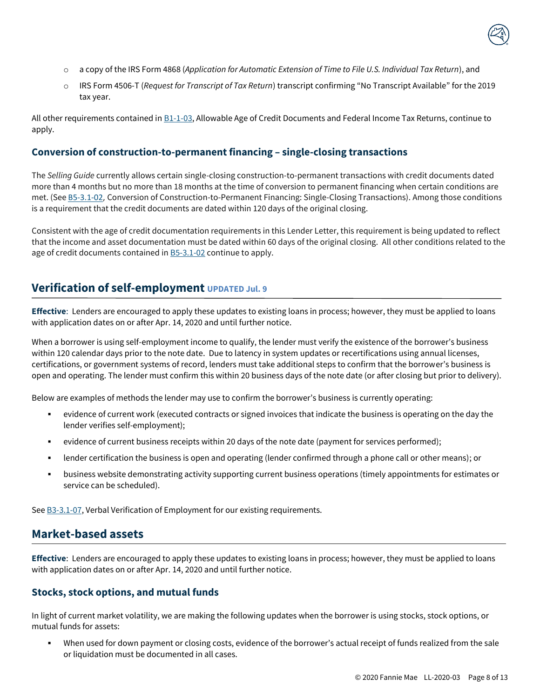

- o a copy of the IRS Form 4868 (*Application for Automatic Extension of Time to File U.S. Individual Tax Return*), and
- o IRS Form 4506-T (*Request for Transcript of Tax Return*) transcript confirming "No Transcript Available" for the 2019 tax year.

All other requirements contained in [B1-1-03,](https://selling-guide.fanniemae.com/Selling-Guide/Origination-thru-Closing/Subpart-B1-Loan-Application-Package/Chapter-B1-1-Application-Package-Documentation/1032992211/B1-1-03-Allowable-Age-of-Credit-Documents-and-Federal-Income-Tax-Returns-02-27-2018.htm?searchtype=sf) Allowable Age of Credit Documents and Federal Income Tax Returns, continue to apply.

#### **Conversion of construction-to-permanent financing – single-closing transactions**

The *Selling Guide* currently allows certain single-closing construction-to-permanent transactions with credit documents dated more than 4 months but no more than 18 months at the time of conversion to permanent financing when certain conditions are met. (See [B5-3.1-02,](https://selling-guide.fanniemae.com/Selling-Guide/Origination-thru-Closing/Subpart-B5-Unique-Eligibility-Underwriting-Considerations/Chapter-B5-3-Construction-and-Energy-Financing/Section-B5-3-1-Conversion-of-Construction-to-Perm-Financing/1033003401/B5-3-1-02-Conversion-of-Construction-to-Permanent-Financing-Single-Closing-Transactions-08-07-2019.htm?searchtype=sf) Conversion of Construction-to-Permanent Financing: Single-Closing Transactions). Among those conditions is a requirement that the credit documents are dated within 120 days of the original closing.

Consistent with the age of credit documentation requirements in this Lender Letter, this requirement is being updated to reflect that the income and asset documentation must be dated within 60 days of the original closing. All other conditions related to the age of credit documents contained i[n B5-3.1-02](https://selling-guide.fanniemae.com/Selling-Guide/Origination-thru-Closing/Subpart-B5-Unique-Eligibility-Underwriting-Considerations/Chapter-B5-3-Construction-and-Energy-Financing/Section-B5-3-1-Conversion-of-Construction-to-Perm-Financing/1033003401/B5-3-1-02-Conversion-of-Construction-to-Permanent-Financing-Single-Closing-Transactions-08-07-2019.htm?searchtype=sf) continue to apply.

### <span id="page-7-0"></span>**Verification of self-employment UPDATED Jul. 9**

**Effective**: Lenders are encouraged to apply these updates to existing loans in process; however, they must be applied to loans with application dates on or after Apr. 14, 2020 and until further notice.

When a borrower is using self-employment income to qualify, the lender must verify the existence of the borrower's business within 120 calendar days prior to the note date. Due to latency in system updates or recertifications using annual licenses, certifications, or government systems of record, lenders must take additional steps to confirm that the borrower's business is open and operating. The lender must confirm this within 20 business days of the note date (or after closing but prior to delivery).

Below are examples of methods the lender may use to confirm the borrower's business is currently operating:

- evidence of current work (executed contracts or signed invoices that indicate the business is operating on the day the lender verifies self-employment);
- evidence of current business receipts within 20 days of the note date (payment for services performed);
- lender certification the business is open and operating (lender confirmed through a phone call or other means); or
- business website demonstrating activity supporting current business operations (timely appointments for estimates or service can be scheduled).

<span id="page-7-1"></span>Se[e B3-3.1-07,](https://selling-guide.fanniemae.com/Selling-Guide/Origination-thru-Closing/Subpart-B3-Underwriting-Borrowers/Chapter-B3-3-Income-Assessment/Section-B3-3-1-Employment-and-Other-Sources-of-Income/1032991031/B3-3-1-07-Verbal-Verification-of-Employment-10-02-2018.htm?searchtype=sf) Verbal Verification of Employment for our existing requirements.

### **Market-based assets**

**Effective**: Lenders are encouraged to apply these updates to existing loans in process; however, they must be applied to loans with application dates on or after Apr. 14, 2020 and until further notice.

#### **Stocks, stock options, and mutual funds**

In light of current market volatility, we are making the following updates when the borrower is using stocks, stock options, or mutual funds for assets:

When used for down payment or closing costs, evidence of the borrower's actual receipt of funds realized from the sale or liquidation must be documented in all cases.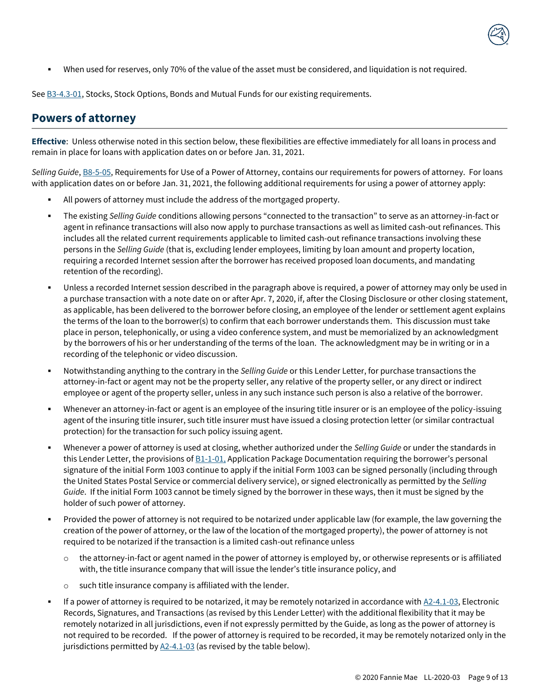▪ When used for reserves, only 70% of the value of the asset must be considered, and liquidation is not required.

<span id="page-8-0"></span>Se[e B3-4.3-01,](https://selling-guide.fanniemae.com/Selling-Guide/Origination-thru-Closing/Subpart-B3-Underwriting-Borrowers/Chapter-B3-4-Asset-Assessment/Section-B3-4-3-Verification-of-Non-Depository-Assets/1032989651/B3-4-3-01-Stocks-Stock-Options-Bonds-and-Mutual-Funds-06-30-2015.htm?searchtype=sf) Stocks, Stock Options, Bonds and Mutual Funds for our existing requirements.

### **Powers of attorney**

**Effective**: Unless otherwise noted in this section below, these flexibilities are effective immediately for all loans in process and remain in place for loans with application dates on or before Jan. 31, 2021.

*Selling Guide*, [B8-5-05,](https://selling-guide.fanniemae.com/Selling-Guide/Origination-thru-Closing/Subpart-B8-Closing-Legal-Documents/Chapter-B8-5-Special-Purpose-Legal-Documents/1033001671/B8-5-05-Requirements-for-Use-of-a-Power-of-Attorney-06-05-2019.htm?searchtype=sf) Requirements for Use of a Power of Attorney, contains our requirements for powers of attorney. For loans with application dates on or before Jan. 31, 2021, the following additional requirements for using a power of attorney apply:

- All powers of attorney must include the address of the mortgaged property.
- The existing *Selling Guide* conditions allowing persons "connected to the transaction" to serve as an attorney-in-fact or agent in refinance transactions will also now apply to purchase transactions as well as limited cash-out refinances. This includes all the related current requirements applicable to limited cash-out refinance transactions involving these persons in the *Selling Guide* (that is, excluding lender employees, limiting by loan amount and property location, requiring a recorded Internet session after the borrower has received proposed loan documents, and mandating retention of the recording).
- Unless a recorded Internet session described in the paragraph above is required, a power of attorney may only be used in a purchase transaction with a note date on or after Apr. 7, 2020, if, after the Closing Disclosure or other closing statement, as applicable, has been delivered to the borrower before closing, an employee of the lender or settlement agent explains the terms of the loan to the borrower(s) to confirm that each borrower understands them. This discussion must take place in person, telephonically, or using a video conference system, and must be memorialized by an acknowledgment by the borrowers of his or her understanding of the terms of the loan. The acknowledgment may be in writing or in a recording of the telephonic or video discussion.
- Notwithstanding anything to the contrary in the *Selling Guide* or this Lender Letter, for purchase transactions the attorney-in-fact or agent may not be the property seller, any relative of the property seller, or any direct or indirect employee or agent of the property seller, unless in any such instance such person is also a relative of the borrower.
- Whenever an attorney-in-fact or agent is an employee of the insuring title insurer or is an employee of the policy-issuing agent of the insuring title insurer, such title insurer must have issued a closing protection letter (or similar contractual protection) for the transaction for such policy issuing agent.
- Whenever a power of attorney is used at closing, whether authorized under the *Selling Guide* or under the standards in this Lender Letter, the provisions of  $B1-1-01$ , Application Package Documentation requiring the borrower's personal signature of the initial Form 1003 continue to apply if the initial Form 1003 can be signed personally (including through the United States Postal Service or commercial delivery service), or signed electronically as permitted by the *Selling Guide*. If the initial Form 1003 cannot be timely signed by the borrower in these ways, then it must be signed by the holder of such power of attorney.
- Provided the power of attorney is not required to be notarized under applicable law (for example, the law governing the creation of the power of attorney, or the law of the location of the mortgaged property), the power of attorney is not required to be notarized if the transaction is a limited cash-out refinance unless
	- $\circ$  the attorney-in-fact or agent named in the power of attorney is employed by, or otherwise represents or is affiliated with, the title insurance company that will issue the lender's title insurance policy, and
	- o such title insurance company is affiliated with the lender.
- If a power of attorney is required to be notarized, it may be remotely notarized in accordance wit[h A2-4.1-03,](https://selling-guide.fanniemae.com/Selling-Guide/Doing-Business-with-Fannie-Mae/Subpart-A2-Lender-Contract/Chapter-A2-4-Loan-Files-and-Records/Section-A2-4-1-Establishment-Ownership-Retention-/1645975221/A2-4-1-03-Electronic-Records-Signatures-and-Transactions-10-07-2020.htm?searchtype=sf) Electronic Records, Signatures, and Transactions (as revised by this Lender Letter) with the additional flexibility that it may be remotely notarized in all jurisdictions, even if not expressly permitted by the Guide, as long as the power of attorney is not required to be recorded. If the power of attorney is required to be recorded, it may be remotely notarized only in the jurisdictions permitted b[y A2-4.1-03](https://selling-guide.fanniemae.com/Selling-Guide/Doing-Business-with-Fannie-Mae/Subpart-A2-Lender-Contract/Chapter-A2-4-Loan-Files-and-Records/Section-A2-4-1-Establishment-Ownership-Retention-/1645975221/A2-4-1-03-Electronic-Records-Signatures-and-Transactions-10-07-2020.htm?searchtype=sf) (as revised by the table below).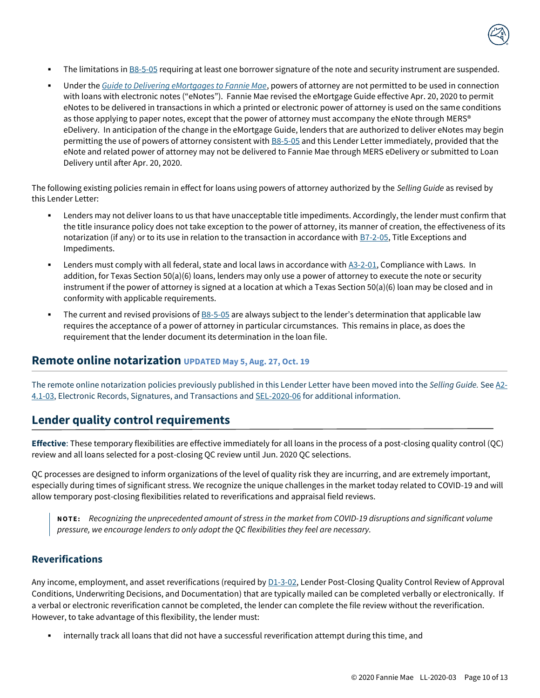

- The limitations in [B8-5-05](https://selling-guide.fanniemae.com/Selling-Guide/Origination-thru-Closing/Subpart-B8-Closing-Legal-Documents/Chapter-B8-5-Special-Purpose-Legal-Documents/1033001671/B8-5-05-Requirements-for-Use-of-a-Power-of-Attorney-06-05-2019.htm?searchtype=sf) requiring at least one borrower signature of the note and security instrument are suspended.
- Under the *[Guide to Delivering eMortgages to Fannie Mae](https://singlefamily.fanniemae.com/media/document/pdf/guide-delivering-emortgage-loans-fannie-mae)*, powers of attorney are not permitted to be used in connection with loans with electronic notes ("eNotes"). Fannie Mae revised the eMortgage Guide effective Apr. 20, 2020 to permit eNotes to be delivered in transactions in which a printed or electronic power of attorney is used on the same conditions as those applying to paper notes, except that the power of attorney must accompany the eNote through MERS<sup>®</sup> eDelivery. In anticipation of the change in the eMortgage Guide, lenders that are authorized to deliver eNotes may begin permitting the use of powers of attorney consistent with [B8-5-05](https://selling-guide.fanniemae.com/Selling-Guide/Origination-thru-Closing/Subpart-B8-Closing-Legal-Documents/Chapter-B8-5-Special-Purpose-Legal-Documents/1033001671/B8-5-05-Requirements-for-Use-of-a-Power-of-Attorney-06-05-2019.htm?searchtype=sf) and this Lender Letter immediately, provided that the eNote and related power of attorney may not be delivered to Fannie Mae through MERS eDelivery or submitted to Loan Delivery until after Apr. 20, 2020.

The following existing policies remain in effect for loans using powers of attorney authorized by the *Selling Guide* as revised by this Lender Letter:

- Lenders may not deliver loans to us that have unacceptable title impediments. Accordingly, the lender must confirm that the title insurance policy does not take exception to the power of attorney, its manner of creation, the effectiveness of its notarization (if any) or to its use in relation to the transaction in accordance with [B7-2-05,](https://selling-guide.fanniemae.com/Selling-Guide/Origination-thru-Closing/Subpart-B7-Insurance/Chapter-B7-2-Title-Insurance/1032998241/B7-2-05-Title-Exceptions-and-Impediments-02-06-2019.htm?searchtype=sf) Title Exceptions and Impediments.
- Lenders must comply with all federal, state and local laws in accordance wit[h A3-2-01,](https://selling-guide.fanniemae.com/Selling-Guide/Doing-Business-with-Fannie-Mae/Subpart-A3-Getting-Started-with-Fannie-Mae/Chapter-A3-2-Compliance-with-Requirements-and-Laws/1645975681/A3-2-01-Compliance-With-Laws-10-02-2019.htm?searchtype=sf) Compliance with Laws. In addition, for Texas Section 50(a)(6) loans, lenders may only use a power of attorney to execute the note or security instrument if the power of attorney is signed at a location at which a Texas Section 50(a)(6) loan may be closed and in conformity with applicable requirements.
- The current and revised provisions of  $B8-5-05$  are always subject to the lender's determination that applicable law requires the acceptance of a power of attorney in particular circumstances. This remains in place, as does the requirement that the lender document its determination in the loan file.

### <span id="page-9-0"></span>**Remote online notarization UPDATED May 5, Aug. 27, Oct. 19**

The remote online notarization policies previously published in this Lender Letter have been moved into the *Selling Guide.* Se[e A2-](https://selling-guide.fanniemae.com/Selling-Guide/Doing-Business-with-Fannie-Mae/Subpart-A2-Lender-Contract/Chapter-A2-4-Loan-Files-and-Records/Section-A2-4-1-Establishment-Ownership-Retention-/1645975221/A2-4-1-03-Electronic-Records-Signatures-and-Transactions-10-07-2020.htm?SearchType=SF) [4.1-03,](https://selling-guide.fanniemae.com/Selling-Guide/Doing-Business-with-Fannie-Mae/Subpart-A2-Lender-Contract/Chapter-A2-4-Loan-Files-and-Records/Section-A2-4-1-Establishment-Ownership-Retention-/1645975221/A2-4-1-03-Electronic-Records-Signatures-and-Transactions-10-07-2020.htm?SearchType=SF) Electronic Records, Signatures, and Transactions and [SEL-2020-06](https://singlefamily.fanniemae.com/media/document/pdf/announcement-sel-2020-06-selling-guide-updates) for additional information.

### <span id="page-9-1"></span>**Lender quality control requirements**

**Effective**: These temporary flexibilities are effective immediately for all loans in the process of a post-closing quality control (QC) review and all loans selected for a post-closing QC review until Jun. 2020 QC selections.

QC processes are designed to inform organizations of the level of quality risk they are incurring, and are extremely important, especially during times of significant stress. We recognize the unique challenges in the market today related to COVID-19 and will allow temporary post-closing flexibilities related to reverifications and appraisal field reviews.

**N O T E :** *Recognizing the unprecedented amount of stress in the market from COVID-19 disruptions and significant volume pressure, we encourage lenders to only adopt the QC flexibilities they feel are necessary.*

#### **Reverifications**

Any income, employment, and asset reverifications (required b[y D1-3-02,](https://selling-guide.fanniemae.com/Selling-Guide/Ensuring-Quality-Control-QC-/Subpart-D1-Lender-QC-Process/Chapter-D1-3-Lender-Post-Closing-QC-Mortgage-Review/1049113811/D1-3-02-Lender-Post-Closing-Quality-Control-Review-of-Approval-Conditions-Underwriting-Decisions-and-Documentation-08-07-2019.htm?searchtype=sf) Lender Post-Closing Quality Control Review of Approval Conditions, Underwriting Decisions, and Documentation) that are typically mailed can be completed verbally or electronically. If a verbal or electronic reverification cannot be completed, the lender can complete the file review without the reverification. However, to take advantage of this flexibility, the lender must:

internally track all loans that did not have a successful reverification attempt during this time, and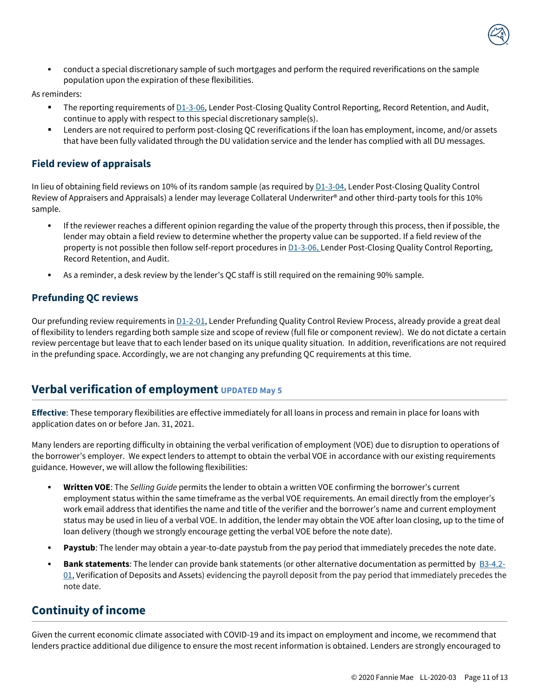

conduct a special discretionary sample of such mortgages and perform the required reverifications on the sample population upon the expiration of these flexibilities.

As reminders:

- The reporting requirements of [D1-3-06,](https://selling-guide.fanniemae.com/Selling-Guide/Ensuring-Quality-Control-QC-/Subpart-D1-Lender-QC-Process/Chapter-D1-3-Lender-Post-Closing-QC-Mortgage-Review/1049146091/D1-3-06-Lender-Post-Closing-Quality-Control-Reporting-Record-Retention-and-Audit-08-07-2019.htm?searchtype=sf) Lender Post-Closing Quality Control Reporting, Record Retention, and Audit, continue to apply with respect to this special discretionary sample(s).
- **EXECT Are increding to perform post-closing QC reverifications if the loan has employment, income, and/or assets** that have been fully validated through the DU validation service and the lender has complied with all DU messages.

### **Field review of appraisals**

In lieu of obtaining field reviews on 10% of its random sample (as required by  $D1-3-04$ , Lender Post-Closing Quality Control Review of Appraisers and Appraisals) a lender may leverage Collateral Underwriter® and other third-party tools for this 10% sample.

- If the reviewer reaches a different opinion regarding the value of the property through this process, then if possible, the lender may obtain a field review to determine whether the property value can be supported. If a field review of the property is not possible then follow self-report procedures in **D1-3-06, Lender Post-Closing Quality Control Reporting**, Record Retention, and Audit.
- As a reminder, a desk review by the lender's QC staff is still required on the remaining 90% sample.

### **Prefunding QC reviews**

Our prefunding review requirements i[n D1-2-01,](https://selling-guide.fanniemae.com/Selling-Guide/Ensuring-Quality-Control-QC-/Subpart-D1-Lender-QC-Process/Chapter-D1-2-Lender-Prefunding-QC-Mortgage-Review/1049104921/D1-2-01-Lender-Prefunding-Quality-Control-Review-Process-03-28-2017.htm?searchtype=sf) Lender Prefunding Quality Control Review Process, already provide a great deal of flexibility to lenders regarding both sample size and scope of review (full file or component review). We do not dictate a certain review percentage but leave that to each lender based on its unique quality situation. In addition, reverifications are not required in the prefunding space. Accordingly, we are not changing any prefunding QC requirements at this time.

### <span id="page-10-0"></span>**Verbal verification of employment UPDATED May 5**

**Effective**: These temporary flexibilities are effective immediately for all loans in process and remain in place for loans with application dates on or before Jan. 31, 2021.

Many lenders are reporting difficulty in obtaining the verbal verification of employment (VOE) due to disruption to operations of the borrower's employer. We expect lenders to attempt to obtain the verbal VOE in accordance with our existing requirements guidance. However, we will allow the following flexibilities:

- **Written VOE**: The *Selling Guide* permits the lender to obtain a written VOE confirming the borrower's current employment status within the same timeframe as the verbal VOE requirements. An email directly from the employer's work email address that identifies the name and title of the verifier and the borrower's name and current employment status may be used in lieu of a verbal VOE. In addition, the lender may obtain the VOE after loan closing, up to the time of loan delivery (though we strongly encourage getting the verbal VOE before the note date).
- Paystub: The lender may obtain a year-to-date paystub from the pay period that immediately precedes the note date.
- **Bank statements**: The lender can provide bank statements (or other alternative documentation as permitted by [B3-4.2-](https://selling-guide.fanniemae.com/Selling-Guide/Origination-thru-Closing/Subpart-B3-Underwriting-Borrowers/Chapter-B3-4-Asset-Assessment/Section-B3-4-2-Verification-of-Depository-Assets/1032990221/B3-4-2-01-Verification-of-Deposits-and-Assets-04-25-2017.htm?searchtype=sf)  $01$ , Verification of Deposits and Assets) evidencing the payroll deposit from the pay period that immediately precedes the note date.

### <span id="page-10-1"></span>**Continuity of income**

Given the current economic climate associated with COVID-19 and its impact on employment and income, we recommend that lenders practice additional due diligence to ensure the most recent information is obtained. Lenders are strongly encouraged to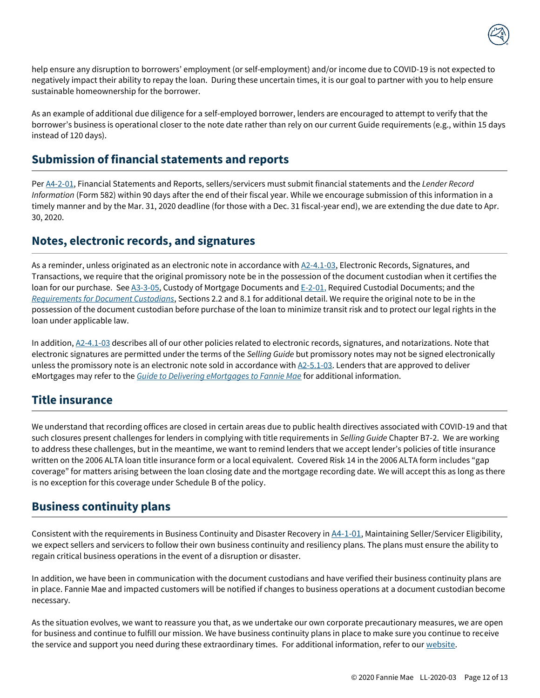

help ensure any disruption to borrowers' employment (or self-employment) and/or income due to COVID-19 is not expected to negatively impact their ability to repay the loan. During these uncertain times, it is our goal to partner with you to help ensure sustainable homeownership for the borrower.

As an example of additional due diligence for a self-employed borrower, lenders are encouraged to attempt to verify that the borrower's business is operational closer to the note date rather than rely on our current Guide requirements (e.g., within 15 days instead of 120 days).

### <span id="page-11-0"></span>**Submission of financial statements and reports**

Pe[r A4-2-01,](https://selling-guide.fanniemae.com/Selling-Guide/Doing-Business-with-Fannie-Mae/Subpart-A4-Maintaining-Seller-Servicer-Eligibility/Chapter-A4-2-Submission-of-Operational-Financial-Info/1645977691/A4-2-01-Financial-Statements-and-Reports-09-04-2018.htm?searchtype=sf) Financial Statements and Reports, sellers/servicers must submit financial statements and the *Lender Record Information* (Form 582) within 90 days after the end of their fiscal year. While we encourage submission of this information in a timely manner and by the Mar. 31, 2020 deadline (for those with a Dec. 31 fiscal-year end), we are extending the due date to Apr. 30, 2020.

### <span id="page-11-1"></span>**Notes, electronic records, and signatures**

As a reminder, unless originated as an electronic note in accordance wit[h A2-4.1-03,](https://selling-guide.fanniemae.com/Selling-Guide/Doing-Business-with-Fannie-Mae/Subpart-A2-Lender-Contract/Chapter-A2-4-Loan-Files-and-Records/Section-A2-4-1-Establishment-Ownership-Retention-/1645975221/A2-4-1-03-Electronic-Records-Signatures-and-Transactions-10-07-2020.htm?searchtype=sf) Electronic Records, Signatures, and Transactions, we require that the original promissory note be in the possession of the document custodian when it certifies the loan for our purchase. See [A3-3-05,](https://selling-guide.fanniemae.com/Selling-Guide/Doing-Business-with-Fannie-Mae/Subpart-A3-Getting-Started-with-Fannie-Mae/Chapter-A3-3-Third-Party-Lending-Functions-and-Servicing/1645974191/A3-3-05-Custody-of-Mortgage-Documents-05-01-2019.htm?searchtype=sf) Custody of Mortgage Documents an[d E-2-01,](https://selling-guide.fanniemae.com/Selling-Guide/Quick-Reference-Materials/Subpart-E2-Exhibits/1049100211/E-2-01-Required-Custodial-Documents-10-02-2019.htm?searchtype=sf) Required Custodial Documents; and the *[Requirements for Document Custodians](https://singlefamily.fanniemae.com/media/document/pdf/requirements-document-custodians)*, Sections 2.2 and 8.1 for additional detail. We require the original note to be in the possession of the document custodian before purchase of the loan to minimize transit risk and to protect our legal rights in the loan under applicable law.

In addition,  $A2-4.1-03$  describes all of our other policies related to electronic records, signatures, and notarizations. Note that electronic signatures are permitted under the terms of the *Selling Guide* but promissory notes may not be signed electronically unless the promissory note is an electronic note sold in accordance with  $A2-5.1-03$ . Lenders that are approved to deliver eMortgages may refer to the *[Guide to Delivering eMortgages to Fannie Mae](https://singlefamily.fanniemae.com/media/document/pdf/guide-delivering-emortgage-loans-fannie-mae)* for additional information.

### <span id="page-11-2"></span>**Title insurance**

We understand that recording offices are closed in certain areas due to public health directives associated with COVID-19 and that such closures present challenges for lenders in complying with title requirements in *Selling Guide* Chapter B7-2. We are working to address these challenges, but in the meantime, we want to remind lenders that we accept lender's policies of title insurance written on the 2006 ALTA loan title insurance form or a local equivalent. Covered Risk 14 in the 2006 ALTA form includes "gap coverage" for matters arising between the loan closing date and the mortgage recording date. We will accept this as long as there is no exception for this coverage under Schedule B of the policy.

# <span id="page-11-3"></span>**Business continuity plans**

Consistent with the requirements in Business Continuity and Disaster Recovery in [A4-1-01](https://selling-guide.fanniemae.com/Selling-Guide/Doing-Business-with-Fannie-Mae/Subpart-A4-Maintaining-Seller-Servicer-Eligibility/Chapter-A4-1-Maintaining-Seller-Servicer-Eligibility/1645977731/A4-1-01-Maintaining-Seller-Servicer-Eligibility-09-04-2018.htm?searchtype=sf), Maintaining Seller/Servicer Eligibility, we expect sellers and servicers to follow their own business continuity and resiliency plans. The plans must ensure the ability to regain critical business operations in the event of a disruption or disaster.

In addition, we have been in communication with the document custodians and have verified their business continuity plans are in place. Fannie Mae and impacted customers will be notified if changes to business operations at a document custodian become necessary.

As the situation evolves, we want to reassure you that, as we undertake our own corporate precautionary measures, we are open for business and continue to fulfill our mission. We have business continuity plans in place to make sure you continue to receive the service and support you need during these extraordinary times. For additional information, refer to ou[r website.](https://www.fanniemae.com/portal/covid-19.html)